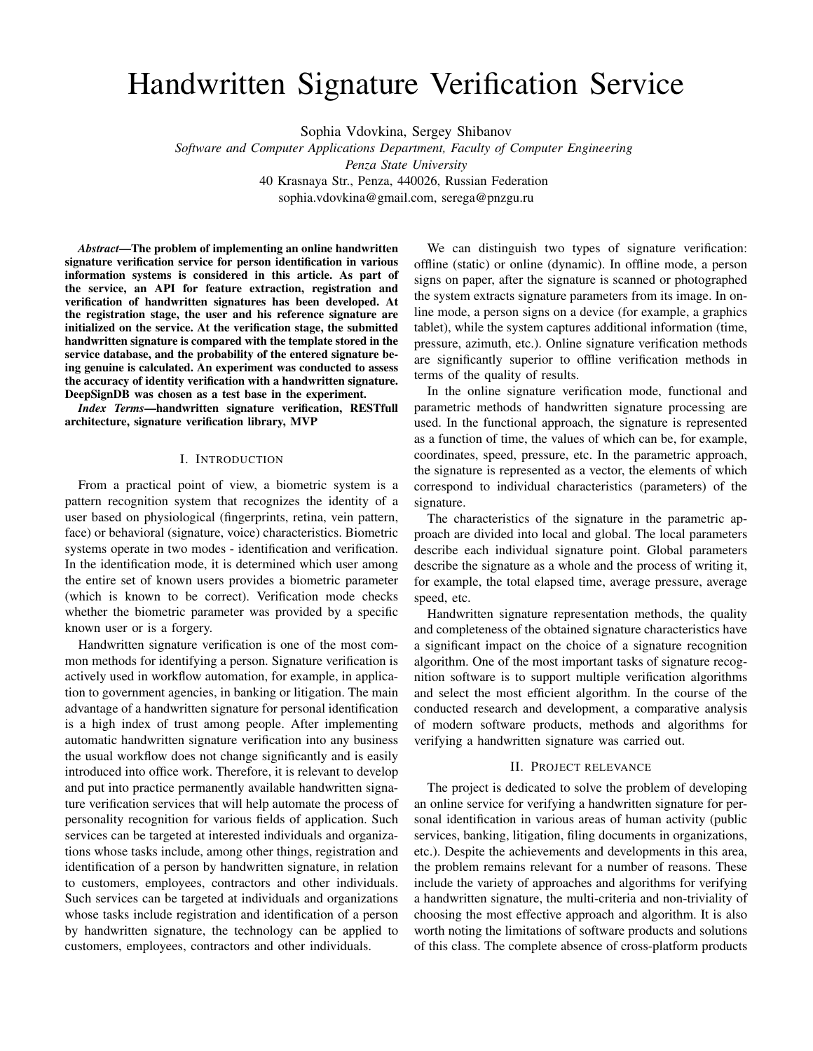# Handwritten Signature Verification Service

Sophia Vdovkina, Sergey Shibanov

*Software and Computer Applications Department, Faculty of Computer Engineering*

*Penza State University*

40 Krasnaya Str., Penza, 440026, Russian Federation

sophia.vdovkina@gmail.com, serega@pnzgu.ru

*Abstract*—The problem of implementing an online handwritten signature verification service for person identification in various information systems is considered in this article. As part of the service, an API for feature extraction, registration and verification of handwritten signatures has been developed. At the registration stage, the user and his reference signature are initialized on the service. At the verification stage, the submitted handwritten signature is compared with the template stored in the service database, and the probability of the entered signature being genuine is calculated. An experiment was conducted to assess the accuracy of identity verification with a handwritten signature. DeepSignDB was chosen as a test base in the experiment.

*Index Terms*—handwritten signature verification, RESTfull architecture, signature verification library, MVP

#### I. INTRODUCTION

From a practical point of view, a biometric system is a pattern recognition system that recognizes the identity of a user based on physiological (fingerprints, retina, vein pattern, face) or behavioral (signature, voice) characteristics. Biometric systems operate in two modes - identification and verification. In the identification mode, it is determined which user among the entire set of known users provides a biometric parameter (which is known to be correct). Verification mode checks whether the biometric parameter was provided by a specific known user or is a forgery.

Handwritten signature verification is one of the most common methods for identifying a person. Signature verification is actively used in workflow automation, for example, in application to government agencies, in banking or litigation. The main advantage of a handwritten signature for personal identification is a high index of trust among people. After implementing automatic handwritten signature verification into any business the usual workflow does not change significantly and is easily introduced into office work. Therefore, it is relevant to develop and put into practice permanently available handwritten signature verification services that will help automate the process of personality recognition for various fields of application. Such services can be targeted at interested individuals and organizations whose tasks include, among other things, registration and identification of a person by handwritten signature, in relation to customers, employees, contractors and other individuals. Such services can be targeted at individuals and organizations whose tasks include registration and identification of a person by handwritten signature, the technology can be applied to customers, employees, contractors and other individuals.

We can distinguish two types of signature verification: offline (static) or online (dynamic). In offline mode, a person signs on paper, after the signature is scanned or photographed the system extracts signature parameters from its image. In online mode, a person signs on a device (for example, a graphics tablet), while the system captures additional information (time, pressure, azimuth, etc.). Online signature verification methods are significantly superior to offline verification methods in terms of the quality of results.

In the online signature verification mode, functional and parametric methods of handwritten signature processing are used. In the functional approach, the signature is represented as a function of time, the values of which can be, for example, coordinates, speed, pressure, etc. In the parametric approach, the signature is represented as a vector, the elements of which correspond to individual characteristics (parameters) of the signature.

The characteristics of the signature in the parametric approach are divided into local and global. The local parameters describe each individual signature point. Global parameters describe the signature as a whole and the process of writing it, for example, the total elapsed time, average pressure, average speed, etc.

Handwritten signature representation methods, the quality and completeness of the obtained signature characteristics have a significant impact on the choice of a signature recognition algorithm. One of the most important tasks of signature recognition software is to support multiple verification algorithms and select the most efficient algorithm. In the course of the conducted research and development, a comparative analysis of modern software products, methods and algorithms for verifying a handwritten signature was carried out.

# II. PROJECT RELEVANCE

The project is dedicated to solve the problem of developing an online service for verifying a handwritten signature for personal identification in various areas of human activity (public services, banking, litigation, filing documents in organizations, etc.). Despite the achievements and developments in this area, the problem remains relevant for a number of reasons. These include the variety of approaches and algorithms for verifying a handwritten signature, the multi-criteria and non-triviality of choosing the most effective approach and algorithm. It is also worth noting the limitations of software products and solutions of this class. The complete absence of cross-platform products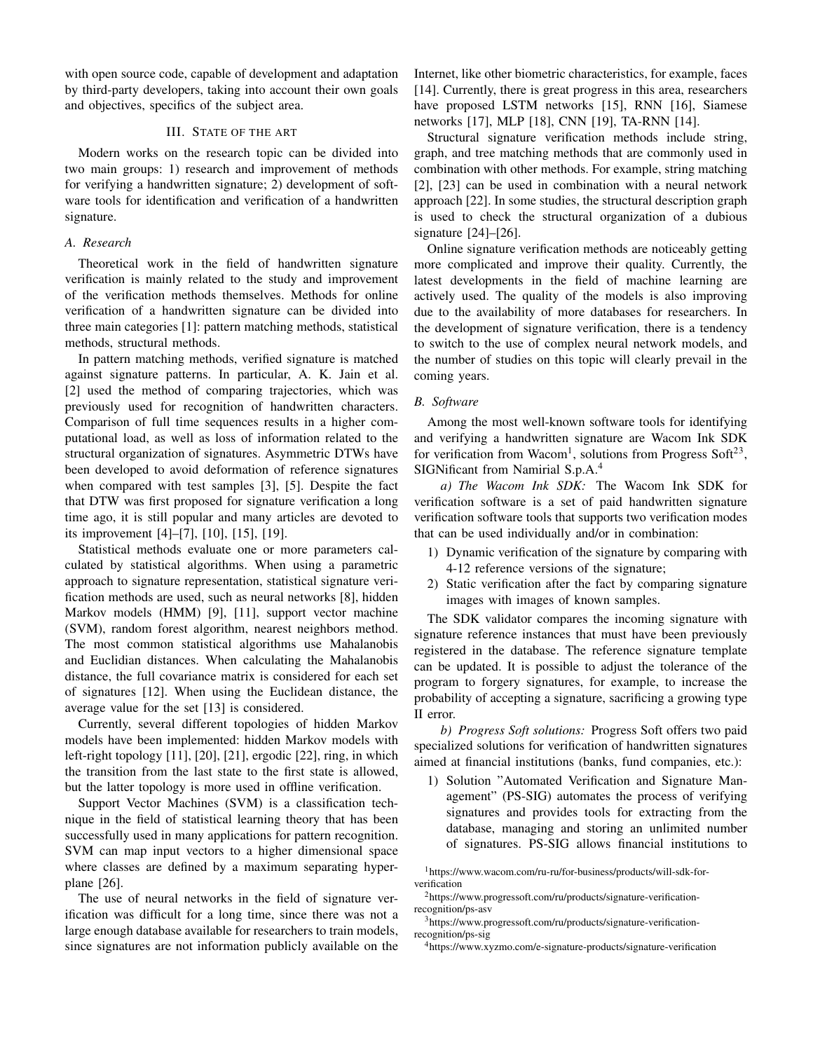with open source code, capable of development and adaptation by third-party developers, taking into account their own goals and objectives, specifics of the subject area.

# III. STATE OF THE ART

Modern works on the research topic can be divided into two main groups: 1) research and improvement of methods for verifying a handwritten signature; 2) development of software tools for identification and verification of a handwritten signature.

# *A. Research*

Theoretical work in the field of handwritten signature verification is mainly related to the study and improvement of the verification methods themselves. Methods for online verification of a handwritten signature can be divided into three main categories [1]: pattern matching methods, statistical methods, structural methods.

In pattern matching methods, verified signature is matched against signature patterns. In particular, A. K. Jain et al. [2] used the method of comparing trajectories, which was previously used for recognition of handwritten characters. Comparison of full time sequences results in a higher computational load, as well as loss of information related to the structural organization of signatures. Asymmetric DTWs have been developed to avoid deformation of reference signatures when compared with test samples [3], [5]. Despite the fact that DTW was first proposed for signature verification a long time ago, it is still popular and many articles are devoted to its improvement [4]–[7], [10], [15], [19].

Statistical methods evaluate one or more parameters calculated by statistical algorithms. When using a parametric approach to signature representation, statistical signature verification methods are used, such as neural networks [8], hidden Markov models (HMM) [9], [11], support vector machine (SVM), random forest algorithm, nearest neighbors method. The most common statistical algorithms use Mahalanobis and Euclidian distances. When calculating the Mahalanobis distance, the full covariance matrix is considered for each set of signatures [12]. When using the Euclidean distance, the average value for the set [13] is considered.

Currently, several different topologies of hidden Markov models have been implemented: hidden Markov models with left-right topology [11], [20], [21], ergodic [22], ring, in which the transition from the last state to the first state is allowed, but the latter topology is more used in offline verification.

Support Vector Machines (SVM) is a classification technique in the field of statistical learning theory that has been successfully used in many applications for pattern recognition. SVM can map input vectors to a higher dimensional space where classes are defined by a maximum separating hyperplane [26].

The use of neural networks in the field of signature verification was difficult for a long time, since there was not a large enough database available for researchers to train models, since signatures are not information publicly available on the

Internet, like other biometric characteristics, for example, faces [14]. Currently, there is great progress in this area, researchers have proposed LSTM networks [15], RNN [16], Siamese networks [17], MLP [18], CNN [19], TA-RNN [14].

Structural signature verification methods include string, graph, and tree matching methods that are commonly used in combination with other methods. For example, string matching [2], [23] can be used in combination with a neural network approach [22]. In some studies, the structural description graph is used to check the structural organization of a dubious signature [24]–[26].

Online signature verification methods are noticeably getting more complicated and improve their quality. Currently, the latest developments in the field of machine learning are actively used. The quality of the models is also improving due to the availability of more databases for researchers. In the development of signature verification, there is a tendency to switch to the use of complex neural network models, and the number of studies on this topic will clearly prevail in the coming years.

## *B. Software*

Among the most well-known software tools for identifying and verifying a handwritten signature are Wacom Ink SDK for verification from Wacom<sup>1</sup>, solutions from Progress Soft<sup>23</sup>, SIGNificant from Namirial S.p.A.<sup>4</sup>

*a) The Wacom Ink SDK:* The Wacom Ink SDK for verification software is a set of paid handwritten signature verification software tools that supports two verification modes that can be used individually and/or in combination:

- 1) Dynamic verification of the signature by comparing with 4-12 reference versions of the signature;
- 2) Static verification after the fact by comparing signature images with images of known samples.

The SDK validator compares the incoming signature with signature reference instances that must have been previously registered in the database. The reference signature template can be updated. It is possible to adjust the tolerance of the program to forgery signatures, for example, to increase the probability of accepting a signature, sacrificing a growing type II error.

*b) Progress Soft solutions:* Progress Soft offers two paid specialized solutions for verification of handwritten signatures aimed at financial institutions (banks, fund companies, etc.):

1) Solution "Automated Verification and Signature Management" (PS-SIG) automates the process of verifying signatures and provides tools for extracting from the database, managing and storing an unlimited number of signatures. PS-SIG allows financial institutions to

<sup>1</sup>https://www.wacom.com/ru-ru/for-business/products/will-sdk-forverification

<sup>2</sup>https://www.progressoft.com/ru/products/signature-verificationrecognition/ps-asv

<sup>3</sup>https://www.progressoft.com/ru/products/signature-verificationrecognition/ps-sig

<sup>4</sup>https://www.xyzmo.com/e-signature-products/signature-verification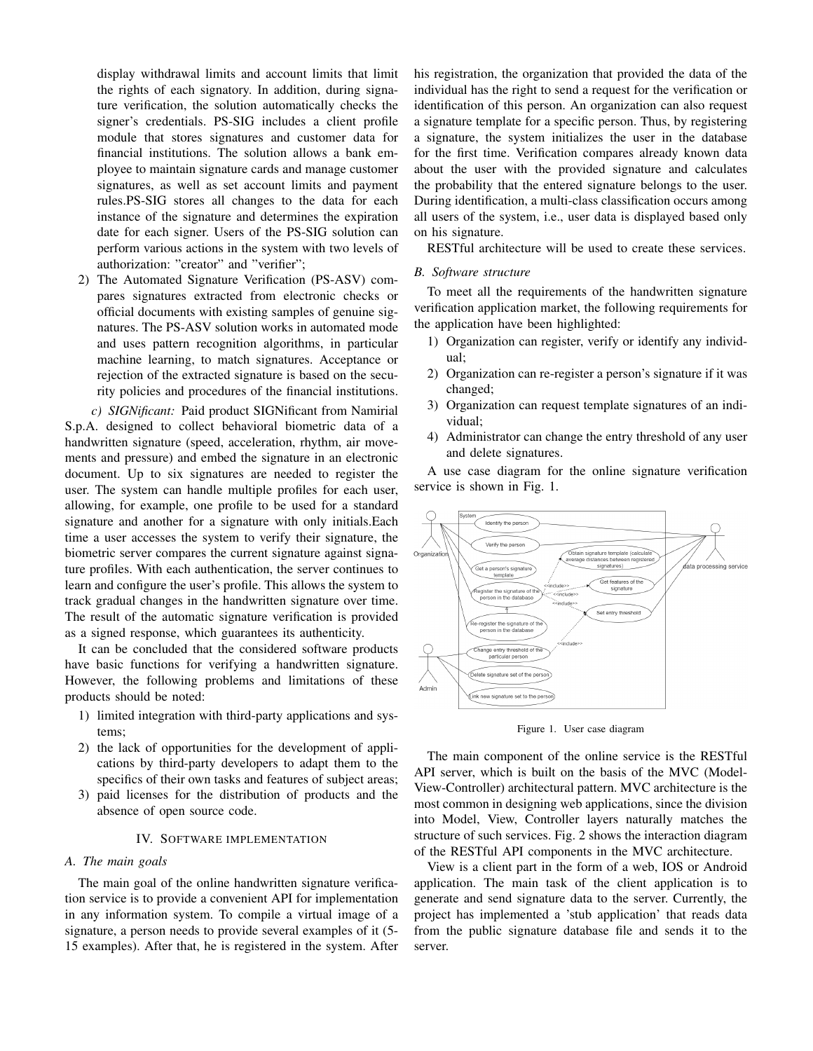display withdrawal limits and account limits that limit the rights of each signatory. In addition, during signature verification, the solution automatically checks the signer's credentials. PS-SIG includes a client profile module that stores signatures and customer data for financial institutions. The solution allows a bank employee to maintain signature cards and manage customer signatures, as well as set account limits and payment rules.PS-SIG stores all changes to the data for each instance of the signature and determines the expiration date for each signer. Users of the PS-SIG solution can perform various actions in the system with two levels of authorization: "creator" and "verifier";

2) The Automated Signature Verification (PS-ASV) compares signatures extracted from electronic checks or official documents with existing samples of genuine signatures. The PS-ASV solution works in automated mode and uses pattern recognition algorithms, in particular machine learning, to match signatures. Acceptance or rejection of the extracted signature is based on the security policies and procedures of the financial institutions.

*c) SIGNificant:* Paid product SIGNificant from Namirial S.p.A. designed to collect behavioral biometric data of a handwritten signature (speed, acceleration, rhythm, air movements and pressure) and embed the signature in an electronic document. Up to six signatures are needed to register the user. The system can handle multiple profiles for each user, allowing, for example, one profile to be used for a standard signature and another for a signature with only initials.Each time a user accesses the system to verify their signature, the biometric server compares the current signature against signature profiles. With each authentication, the server continues to learn and configure the user's profile. This allows the system to track gradual changes in the handwritten signature over time. The result of the automatic signature verification is provided as a signed response, which guarantees its authenticity.

It can be concluded that the considered software products have basic functions for verifying a handwritten signature. However, the following problems and limitations of these products should be noted:

- 1) limited integration with third-party applications and systems;
- 2) the lack of opportunities for the development of applications by third-party developers to adapt them to the specifics of their own tasks and features of subject areas;
- 3) paid licenses for the distribution of products and the absence of open source code.

# IV. SOFTWARE IMPLEMENTATION

#### *A. The main goals*

The main goal of the online handwritten signature verification service is to provide a convenient API for implementation in any information system. To compile a virtual image of a signature, a person needs to provide several examples of it (5- 15 examples). After that, he is registered in the system. After his registration, the organization that provided the data of the individual has the right to send a request for the verification or identification of this person. An organization can also request a signature template for a specific person. Thus, by registering a signature, the system initializes the user in the database for the first time. Verification compares already known data about the user with the provided signature and calculates the probability that the entered signature belongs to the user. During identification, a multi-class classification occurs among all users of the system, i.e., user data is displayed based only on his signature.

RESTful architecture will be used to create these services.

#### *B. Software structure*

To meet all the requirements of the handwritten signature verification application market, the following requirements for the application have been highlighted:

- 1) Organization can register, verify or identify any individual;
- 2) Organization can re-register a person's signature if it was changed;
- 3) Organization can request template signatures of an individual;
- 4) Administrator can change the entry threshold of any user and delete signatures.

A use case diagram for the online signature verification service is shown in Fig. 1.



Figure 1. User case diagram

The main component of the online service is the RESTful API server, which is built on the basis of the MVC (Model-View-Controller) architectural pattern. MVC architecture is the most common in designing web applications, since the division into Model, View, Controller layers naturally matches the structure of such services. Fig. 2 shows the interaction diagram of the RESTful API components in the MVC architecture.

View is a client part in the form of a web, IOS or Android application. The main task of the client application is to generate and send signature data to the server. Currently, the project has implemented a 'stub application' that reads data from the public signature database file and sends it to the server.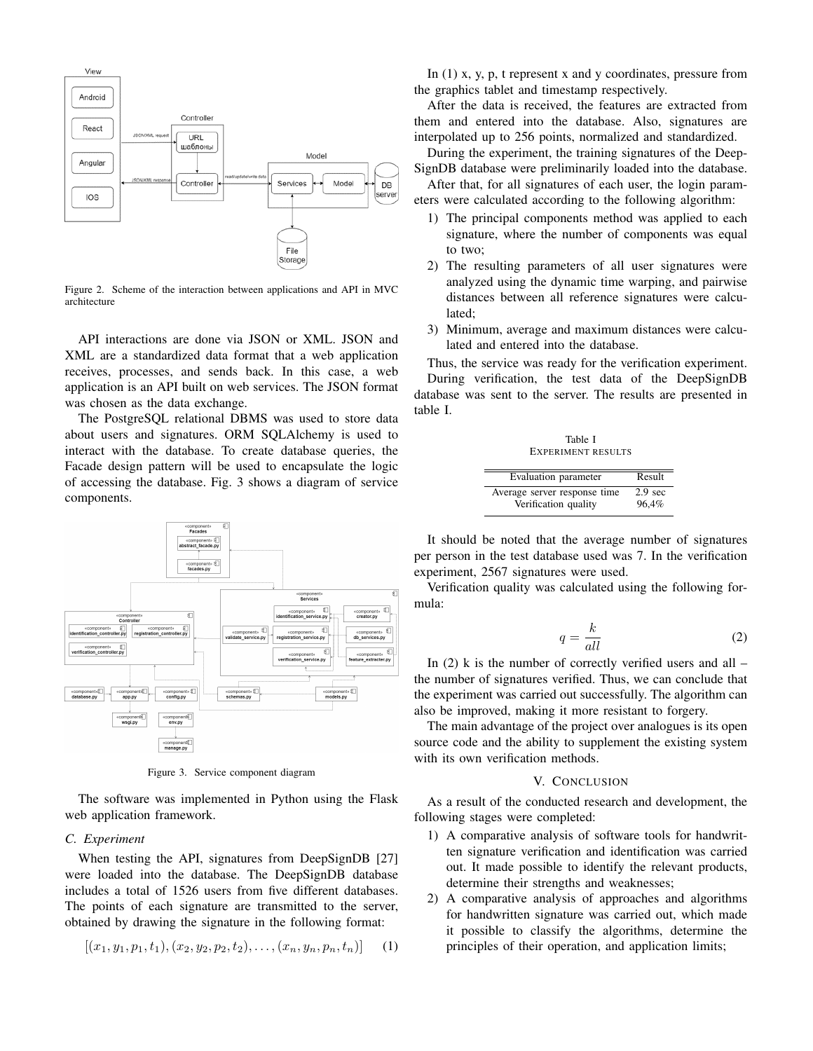

Figure 2. Scheme of the interaction between applications and API in MVC architecture

API interactions are done via JSON or XML. JSON and XML are a standardized data format that a web application receives, processes, and sends back. In this case, a web application is an API built on web services. The JSON format was chosen as the data exchange.

The PostgreSQL relational DBMS was used to store data about users and signatures. ORM SQLAlchemy is used to interact with the database. To create database queries, the Facade design pattern will be used to encapsulate the logic of accessing the database. Fig. 3 shows a diagram of service components.



Figure 3. Service component diagram

The software was implemented in Python using the Flask web application framework.

# *C. Experiment*

When testing the API, signatures from DeepSignDB [27] were loaded into the database. The DeepSignDB database includes a total of 1526 users from five different databases. The points of each signature are transmitted to the server, obtained by drawing the signature in the following format:

$$
[(x_1, y_1, p_1, t_1), (x_2, y_2, p_2, t_2), \dots, (x_n, y_n, p_n, t_n)] \quad (1)
$$

In (1) x, y, p, t represent x and y coordinates, pressure from the graphics tablet and timestamp respectively.

After the data is received, the features are extracted from them and entered into the database. Also, signatures are interpolated up to 256 points, normalized and standardized.

During the experiment, the training signatures of the Deep-SignDB database were preliminarily loaded into the database. After that, for all signatures of each user, the login parameters were calculated according to the following algorithm:

- 1) The principal components method was applied to each signature, where the number of components was equal to two;
- 2) The resulting parameters of all user signatures were analyzed using the dynamic time warping, and pairwise distances between all reference signatures were calculated;
- 3) Minimum, average and maximum distances were calculated and entered into the database.

Thus, the service was ready for the verification experiment. During verification, the test data of the DeepSignDB database was sent to the server. The results are presented in table I.

| Table I                      |                   |
|------------------------------|-------------------|
| <b>EXPERIMENT RESULTS</b>    |                   |
|                              |                   |
| Evaluation parameter         | Result            |
| Average server response time | $2.9 \text{ sec}$ |
| Verification quality         | 96.4%             |

It should be noted that the average number of signatures per person in the test database used was 7. In the verification experiment, 2567 signatures were used.

Verification quality was calculated using the following formula:

$$
q = \frac{k}{all} \tag{2}
$$

In  $(2)$  k is the number of correctly verified users and all – the number of signatures verified. Thus, we can conclude that the experiment was carried out successfully. The algorithm can also be improved, making it more resistant to forgery.

The main advantage of the project over analogues is its open source code and the ability to supplement the existing system with its own verification methods.

#### V. CONCLUSION

As a result of the conducted research and development, the following stages were completed:

- 1) A comparative analysis of software tools for handwritten signature verification and identification was carried out. It made possible to identify the relevant products, determine their strengths and weaknesses;
- 2) A comparative analysis of approaches and algorithms for handwritten signature was carried out, which made it possible to classify the algorithms, determine the principles of their operation, and application limits;